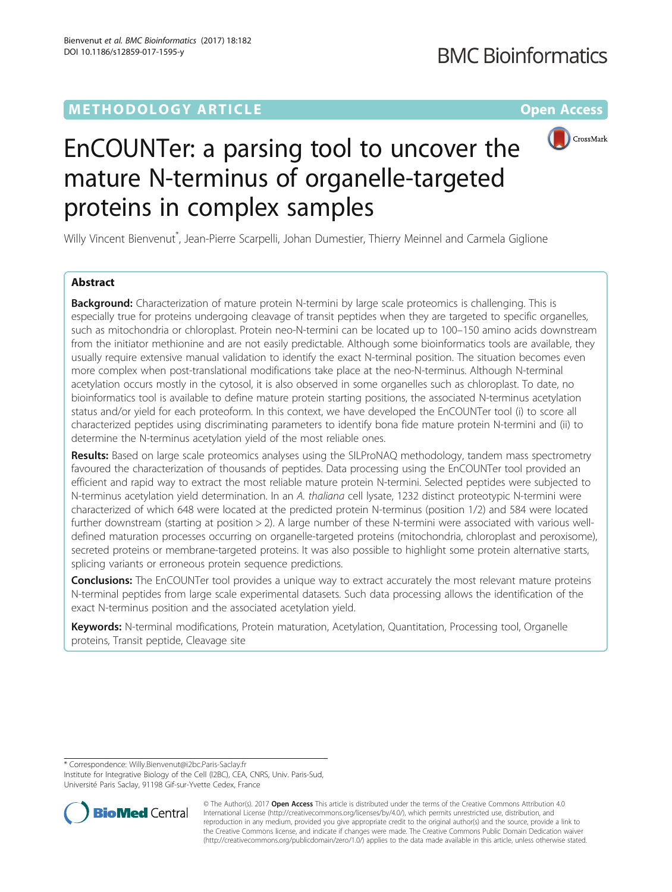# **METHODOLOGY ARTICLE CONSUMING A RESERVE AND LOGISTIC AND LOGISTIC ACCESS**



# EnCOUNTer: a parsing tool to uncover the mature N-terminus of organelle-targeted proteins in complex samples

Willy Vincent Bienvenut\* , Jean-Pierre Scarpelli, Johan Dumestier, Thierry Meinnel and Carmela Giglione

# Abstract

**Background:** Characterization of mature protein N-termini by large scale proteomics is challenging. This is especially true for proteins undergoing cleavage of transit peptides when they are targeted to specific organelles, such as mitochondria or chloroplast. Protein neo-N-termini can be located up to 100–150 amino acids downstream from the initiator methionine and are not easily predictable. Although some bioinformatics tools are available, they usually require extensive manual validation to identify the exact N-terminal position. The situation becomes even more complex when post-translational modifications take place at the neo-N-terminus. Although N-terminal acetylation occurs mostly in the cytosol, it is also observed in some organelles such as chloroplast. To date, no bioinformatics tool is available to define mature protein starting positions, the associated N-terminus acetylation status and/or yield for each proteoform. In this context, we have developed the EnCOUNTer tool (i) to score all characterized peptides using discriminating parameters to identify bona fide mature protein N-termini and (ii) to determine the N-terminus acetylation yield of the most reliable ones.

Results: Based on large scale proteomics analyses using the SILProNAQ methodology, tandem mass spectrometry favoured the characterization of thousands of peptides. Data processing using the EnCOUNTer tool provided an efficient and rapid way to extract the most reliable mature protein N-termini. Selected peptides were subjected to N-terminus acetylation yield determination. In an A. thaliana cell lysate, 1232 distinct proteotypic N-termini were characterized of which 648 were located at the predicted protein N-terminus (position 1/2) and 584 were located further downstream (starting at position > 2). A large number of these N-termini were associated with various welldefined maturation processes occurring on organelle-targeted proteins (mitochondria, chloroplast and peroxisome), secreted proteins or membrane-targeted proteins. It was also possible to highlight some protein alternative starts, splicing variants or erroneous protein sequence predictions.

**Conclusions:** The EnCOUNTer tool provides a unique way to extract accurately the most relevant mature proteins N-terminal peptides from large scale experimental datasets. Such data processing allows the identification of the exact N-terminus position and the associated acetylation yield.

Keywords: N-terminal modifications, Protein maturation, Acetylation, Quantitation, Processing tool, Organelle proteins, Transit peptide, Cleavage site

\* Correspondence: [Willy.Bienvenut@i2bc.Paris-Saclay.fr](mailto:Willy.Bienvenut@i2bc.Paris-Saclay.fr)

Institute for Integrative Biology of the Cell (I2BC), CEA, CNRS, Univ. Paris-Sud, Université Paris Saclay, 91198 Gif-sur-Yvette Cedex, France



© The Author(s). 2017 **Open Access** This article is distributed under the terms of the Creative Commons Attribution 4.0 International License [\(http://creativecommons.org/licenses/by/4.0/](http://creativecommons.org/licenses/by/4.0/)), which permits unrestricted use, distribution, and reproduction in any medium, provided you give appropriate credit to the original author(s) and the source, provide a link to the Creative Commons license, and indicate if changes were made. The Creative Commons Public Domain Dedication waiver [\(http://creativecommons.org/publicdomain/zero/1.0/](http://creativecommons.org/publicdomain/zero/1.0/)) applies to the data made available in this article, unless otherwise stated.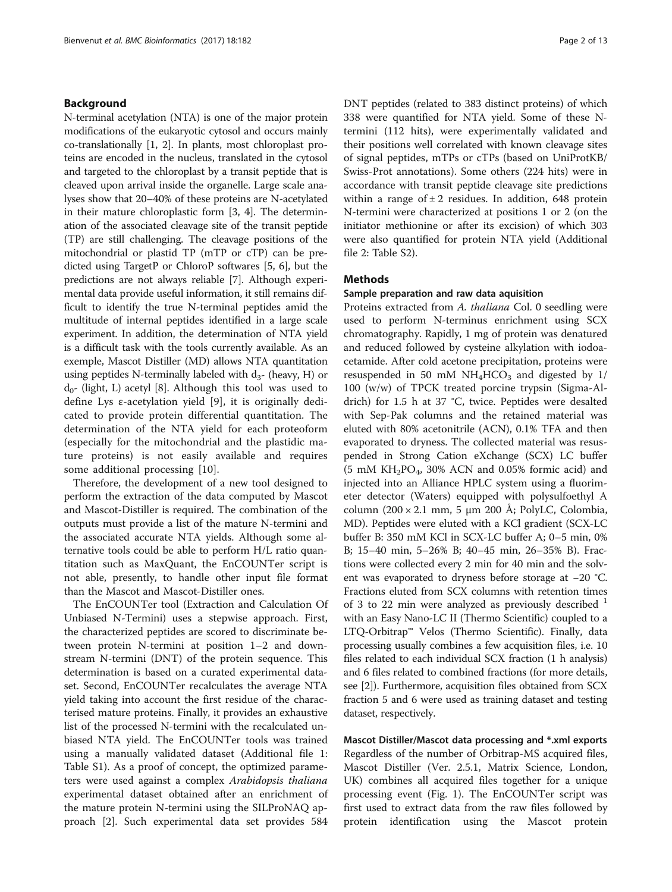## Background

N-terminal acetylation (NTA) is one of the major protein modifications of the eukaryotic cytosol and occurs mainly co-translationally [[1, 2\]](#page-11-0). In plants, most chloroplast proteins are encoded in the nucleus, translated in the cytosol and targeted to the chloroplast by a transit peptide that is cleaved upon arrival inside the organelle. Large scale analyses show that 20–40% of these proteins are N-acetylated in their mature chloroplastic form [[3, 4\]](#page-11-0). The determination of the associated cleavage site of the transit peptide (TP) are still challenging. The cleavage positions of the mitochondrial or plastid TP (mTP or cTP) can be predicted using TargetP or ChloroP softwares [[5, 6](#page-11-0)], but the predictions are not always reliable [\[7](#page-11-0)]. Although experimental data provide useful information, it still remains difficult to identify the true N-terminal peptides amid the multitude of internal peptides identified in a large scale experiment. In addition, the determination of NTA yield is a difficult task with the tools currently available. As an exemple, Mascot Distiller (MD) allows NTA quantitation using peptides N-terminally labeled with  $d_{3}$ - (heavy, H) or  $d_{0}$ - (light, L) acetyl [\[8\]](#page-11-0). Although this tool was used to define Lys ε-acetylation yield [[9\]](#page-12-0), it is originally dedicated to provide protein differential quantitation. The determination of the NTA yield for each proteoform (especially for the mitochondrial and the plastidic mature proteins) is not easily available and requires some additional processing [[10](#page-12-0)].

Therefore, the development of a new tool designed to perform the extraction of the data computed by Mascot and Mascot-Distiller is required. The combination of the outputs must provide a list of the mature N-termini and the associated accurate NTA yields. Although some alternative tools could be able to perform H/L ratio quantitation such as MaxQuant, the EnCOUNTer script is not able, presently, to handle other input file format than the Mascot and Mascot-Distiller ones.

The EnCOUNTer tool (Extraction and Calculation Of Unbiased N-Termini) uses a stepwise approach. First, the characterized peptides are scored to discriminate between protein N-termini at position 1–2 and downstream N-termini (DNT) of the protein sequence. This determination is based on a curated experimental dataset. Second, EnCOUNTer recalculates the average NTA yield taking into account the first residue of the characterised mature proteins. Finally, it provides an exhaustive list of the processed N-termini with the recalculated unbiased NTA yield. The EnCOUNTer tools was trained using a manually validated dataset (Additional file [1](#page-11-0): Table S1). As a proof of concept, the optimized parameters were used against a complex Arabidopsis thaliana experimental dataset obtained after an enrichment of the mature protein N-termini using the SILProNAQ approach [[2\]](#page-11-0). Such experimental data set provides 584 DNT peptides (related to 383 distinct proteins) of which 338 were quantified for NTA yield. Some of these Ntermini (112 hits), were experimentally validated and their positions well correlated with known cleavage sites of signal peptides, mTPs or cTPs (based on UniProtKB/ Swiss-Prot annotations). Some others (224 hits) were in accordance with transit peptide cleavage site predictions within a range of  $\pm 2$  residues. In addition, 648 protein N-termini were characterized at positions 1 or 2 (on the initiator methionine or after its excision) of which 303 were also quantified for protein NTA yield (Additional file [2:](#page-11-0) Table S2).

# **Methods**

#### Sample preparation and raw data aquisition

Proteins extracted from A. thaliana Col. 0 seedling were used to perform N-terminus enrichment using SCX chromatography. Rapidly, 1 mg of protein was denatured and reduced followed by cysteine alkylation with iodoacetamide. After cold acetone precipitation, proteins were resuspended in 50 mM  $NH<sub>4</sub>HCO<sub>3</sub>$  and digested by 1/ 100 (w/w) of TPCK treated porcine trypsin (Sigma-Aldrich) for 1.5 h at 37 °C, twice. Peptides were desalted with Sep-Pak columns and the retained material was eluted with 80% acetonitrile (ACN), 0.1% TFA and then evaporated to dryness. The collected material was resuspended in Strong Cation eXchange (SCX) LC buffer  $(5 \text{ mM } KH<sub>2</sub>PO<sub>4</sub>$ , 30% ACN and 0.05% formic acid) and injected into an Alliance HPLC system using a fluorimeter detector (Waters) equipped with polysulfoethyl A column (200 × 2.1 mm, 5 μm 200 Å; PolyLC, Colombia, MD). Peptides were eluted with a KCl gradient (SCX-LC buffer B: 350 mM KCl in SCX-LC buffer A; 0–5 min, 0% B; 15–40 min, 5–26% B; 40–45 min, 26–35% B). Fractions were collected every 2 min for 40 min and the solvent was evaporated to dryness before storage at −20 °C. Fractions eluted from SCX columns with retention times of 3 to 22 min were analyzed as previously described <sup>1</sup> with an Easy Nano-LC II (Thermo Scientific) coupled to a LTQ-Orbitrap™ Velos (Thermo Scientific). Finally, data processing usually combines a few acquisition files, i.e. 10 files related to each individual SCX fraction (1 h analysis) and 6 files related to combined fractions (for more details, see [\[2\]](#page-11-0)). Furthermore, acquisition files obtained from SCX fraction 5 and 6 were used as training dataset and testing dataset, respectively.

Mascot Distiller/Mascot data processing and \*.xml exports Regardless of the number of Orbitrap-MS acquired files, Mascot Distiller (Ver. 2.5.1, Matrix Science, London, UK) combines all acquired files together for a unique processing event (Fig. [1](#page-2-0)). The EnCOUNTer script was first used to extract data from the raw files followed by protein identification using the Mascot protein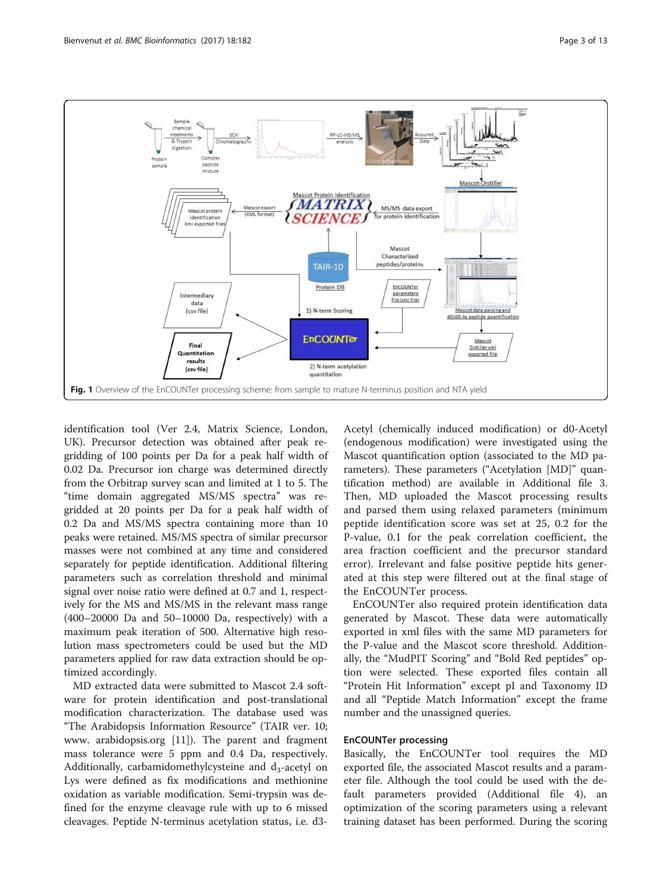<span id="page-2-0"></span>

identification tool (Ver 2.4, Matrix Science, London, UK). Precursor detection was obtained after peak regridding of 100 points per Da for a peak half width of 0.02 Da. Precursor ion charge was determined directly from the Orbitrap survey scan and limited at 1 to 5. The "time domain aggregated MS/MS spectra" was regridded at 20 points per Da for a peak half width of 0.2 Da and MS/MS spectra containing more than 10 peaks were retained. MS/MS spectra of similar precursor masses were not combined at any time and considered separately for peptide identification. Additional filtering parameters such as correlation threshold and minimal signal over noise ratio were defined at 0.7 and 1, respectively for the MS and MS/MS in the relevant mass range (400–20000 Da and 50–10000 Da, respectively) with a maximum peak iteration of 500. Alternative high resolution mass spectrometers could be used but the MD parameters applied for raw data extraction should be optimized accordingly.

MD extracted data were submitted to Mascot 2.4 software for protein identification and post-translational modification characterization. The database used was "The Arabidopsis Information Resource" (TAIR ver. 10; www. arabidopsis.org [\[11](#page-12-0)]). The parent and fragment mass tolerance were 5 ppm and 0.4 Da, respectively. Additionally, carbamidomethylcysteine and  $d_3$ -acetyl on Lys were defined as fix modifications and methionine oxidation as variable modification. Semi-trypsin was defined for the enzyme cleavage rule with up to 6 missed cleavages. Peptide N-terminus acetylation status, i.e. d3Acetyl (chemically induced modification) or d0-Acetyl (endogenous modification) were investigated using the Mascot quantification option (associated to the MD parameters). These parameters ("Acetylation [MD]" quantification method) are available in Additional file [3](#page-11-0). Then, MD uploaded the Mascot processing results and parsed them using relaxed parameters (minimum peptide identification score was set at 25, 0.2 for the P-value, 0.1 for the peak correlation coefficient, the area fraction coefficient and the precursor standard error). Irrelevant and false positive peptide hits generated at this step were filtered out at the final stage of the EnCOUNTer process.

EnCOUNTer also required protein identification data generated by Mascot. These data were automatically exported in xml files with the same MD parameters for the P-value and the Mascot score threshold. Additionally, the "MudPIT Scoring" and "Bold Red peptides" option were selected. These exported files contain all "Protein Hit Information" except pI and Taxonomy ID and all "Peptide Match Information" except the frame number and the unassigned queries.

#### EnCOUNTer processing

Basically, the EnCOUNTer tool requires the MD exported file, the associated Mascot results and a parameter file. Although the tool could be used with the default parameters provided (Additional file [4](#page-11-0)), an optimization of the scoring parameters using a relevant training dataset has been performed. During the scoring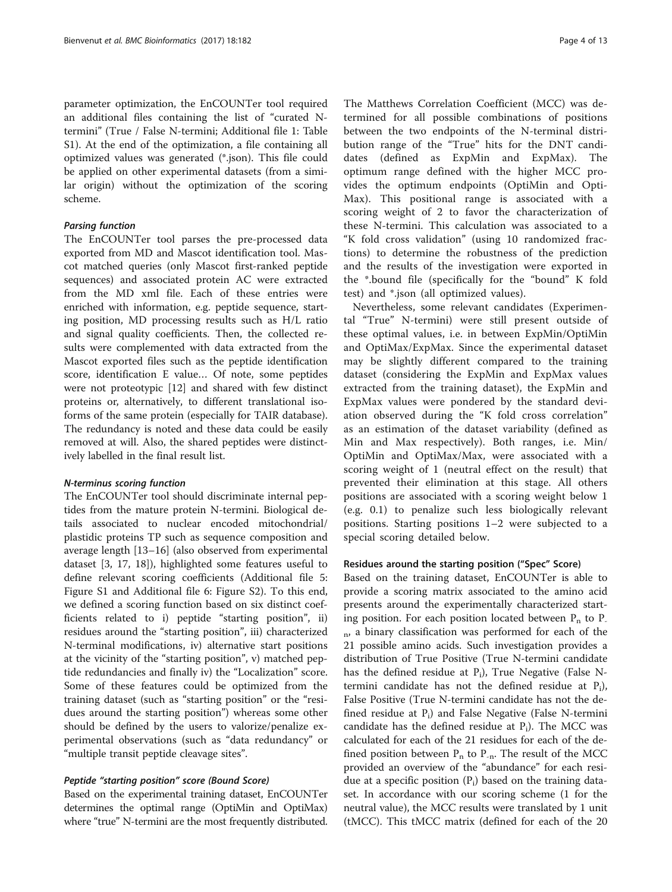parameter optimization, the EnCOUNTer tool required an additional files containing the list of "curated Ntermini" (True / False N-termini; Additional file [1](#page-11-0): Table S1). At the end of the optimization, a file containing all optimized values was generated (\*.json). This file could be applied on other experimental datasets (from a similar origin) without the optimization of the scoring scheme.

# Parsing function

The EnCOUNTer tool parses the pre-processed data exported from MD and Mascot identification tool. Mascot matched queries (only Mascot first-ranked peptide sequences) and associated protein AC were extracted from the MD xml file. Each of these entries were enriched with information, e.g. peptide sequence, starting position, MD processing results such as H/L ratio and signal quality coefficients. Then, the collected results were complemented with data extracted from the Mascot exported files such as the peptide identification score, identification E value… Of note, some peptides were not proteotypic [\[12\]](#page-12-0) and shared with few distinct proteins or, alternatively, to different translational isoforms of the same protein (especially for TAIR database). The redundancy is noted and these data could be easily removed at will. Also, the shared peptides were distinctively labelled in the final result list.

#### N-terminus scoring function

The EnCOUNTer tool should discriminate internal peptides from the mature protein N-termini. Biological details associated to nuclear encoded mitochondrial/ plastidic proteins TP such as sequence composition and average length [[13](#page-12-0)–[16](#page-12-0)] (also observed from experimental dataset [[3,](#page-11-0) [17, 18\]](#page-12-0)), highlighted some features useful to define relevant scoring coefficients (Additional file [5](#page-11-0): Figure S1 and Additional file [6:](#page-11-0) Figure S2). To this end, we defined a scoring function based on six distinct coefficients related to i) peptide "starting position", ii) residues around the "starting position", iii) characterized N-terminal modifications, iv) alternative start positions at the vicinity of the "starting position", v) matched peptide redundancies and finally iv) the "Localization" score. Some of these features could be optimized from the training dataset (such as "starting position" or the "residues around the starting position") whereas some other should be defined by the users to valorize/penalize experimental observations (such as "data redundancy" or "multiple transit peptide cleavage sites".

#### Peptide "starting position" score (Bound Score)

Based on the experimental training dataset, EnCOUNTer determines the optimal range (OptiMin and OptiMax) where "true" N-termini are the most frequently distributed.

The Matthews Correlation Coefficient (MCC) was determined for all possible combinations of positions between the two endpoints of the N-terminal distribution range of the "True" hits for the DNT candidates (defined as ExpMin and ExpMax). The optimum range defined with the higher MCC provides the optimum endpoints (OptiMin and Opti-Max). This positional range is associated with a scoring weight of 2 to favor the characterization of these N-termini. This calculation was associated to a "K fold cross validation" (using 10 randomized fractions) to determine the robustness of the prediction and the results of the investigation were exported in the \*.bound file (specifically for the "bound" K fold test) and \*.json (all optimized values).

Nevertheless, some relevant candidates (Experimental "True" N-termini) were still present outside of these optimal values, i.e. in between ExpMin/OptiMin and OptiMax/ExpMax. Since the experimental dataset may be slightly different compared to the training dataset (considering the ExpMin and ExpMax values extracted from the training dataset), the ExpMin and ExpMax values were pondered by the standard deviation observed during the "K fold cross correlation" as an estimation of the dataset variability (defined as Min and Max respectively). Both ranges, i.e. Min/ OptiMin and OptiMax/Max, were associated with a scoring weight of 1 (neutral effect on the result) that prevented their elimination at this stage. All others positions are associated with a scoring weight below 1 (e.g. 0.1) to penalize such less biologically relevant positions. Starting positions 1–2 were subjected to a special scoring detailed below.

#### Residues around the starting position ("Spec" Score)

Based on the training dataset, EnCOUNTer is able to provide a scoring matrix associated to the amino acid presents around the experimentally characterized starting position. For each position located between  $P_n$  to  $P_n$  $n<sub>p</sub>$ , a binary classification was performed for each of the 21 possible amino acids. Such investigation provides a distribution of True Positive (True N-termini candidate has the defined residue at  $P_i$ ), True Negative (False Ntermini candidate has not the defined residue at  $P_i$ ), False Positive (True N-termini candidate has not the defined residue at  $P_i$ ) and False Negative (False N-termini candidate has the defined residue at  $P_i$ ). The MCC was calculated for each of the 21 residues for each of the defined position between  $P_n$  to  $P_{-n}$ . The result of the MCC provided an overview of the "abundance" for each residue at a specific position  $(P_i)$  based on the training dataset. In accordance with our scoring scheme (1 for the neutral value), the MCC results were translated by 1 unit (tMCC). This tMCC matrix (defined for each of the 20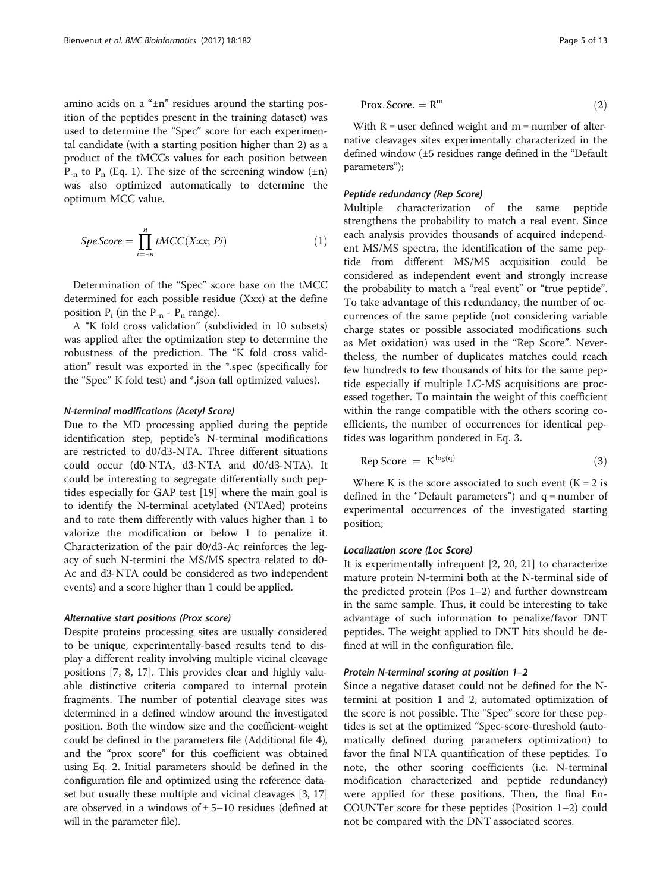amino acids on a "±n" residues around the starting position of the peptides present in the training dataset) was used to determine the "Spec" score for each experimental candidate (with a starting position higher than 2) as a product of the tMCCs values for each position between  $P_{-n}$  to  $P_n$  (Eq. 1). The size of the screening window ( $\pm n$ ) was also optimized automatically to determine the optimum MCC value.

$$
SpeScore = \prod_{i=-n}^{n} tMCC(Xxx; Pi)
$$
 (1)

Determination of the "Spec" score base on the tMCC determined for each possible residue (Xxx) at the define position  $P_i$  (in the  $P_{-n}$  -  $P_n$  range).

A "K fold cross validation" (subdivided in 10 subsets) was applied after the optimization step to determine the robustness of the prediction. The "K fold cross validation" result was exported in the \*.spec (specifically for the "Spec" K fold test) and \*.json (all optimized values).

#### N-terminal modifications (Acetyl Score)

Due to the MD processing applied during the peptide identification step, peptide's N-terminal modifications are restricted to d0/d3-NTA. Three different situations could occur (d0-NTA, d3-NTA and d0/d3-NTA). It could be interesting to segregate differentially such peptides especially for GAP test [[19\]](#page-12-0) where the main goal is to identify the N-terminal acetylated (NTAed) proteins and to rate them differently with values higher than 1 to valorize the modification or below 1 to penalize it. Characterization of the pair d0/d3-Ac reinforces the legacy of such N-termini the MS/MS spectra related to d0- Ac and d3-NTA could be considered as two independent events) and a score higher than 1 could be applied.

#### Alternative start positions (Prox score)

Despite proteins processing sites are usually considered to be unique, experimentally-based results tend to display a different reality involving multiple vicinal cleavage positions [\[7](#page-11-0), [8,](#page-11-0) [17](#page-12-0)]. This provides clear and highly valuable distinctive criteria compared to internal protein fragments. The number of potential cleavage sites was determined in a defined window around the investigated position. Both the window size and the coefficient-weight could be defined in the parameters file (Additional file [4](#page-11-0)), and the "prox score" for this coefficient was obtained using Eq. 2. Initial parameters should be defined in the configuration file and optimized using the reference dataset but usually these multiple and vicinal cleavages [[3,](#page-11-0) [17](#page-12-0)] are observed in a windows of  $\pm$  5–10 residues (defined at will in the parameter file).

$$
Prox. Score. = Rm
$$
 (2)

With  $R =$  user defined weight and  $m =$  number of alternative cleavages sites experimentally characterized in the defined window (±5 residues range defined in the "Default parameters");

#### Peptide redundancy (Rep Score)

Multiple characterization of the same peptide strengthens the probability to match a real event. Since each analysis provides thousands of acquired independent MS/MS spectra, the identification of the same peptide from different MS/MS acquisition could be considered as independent event and strongly increase the probability to match a "real event" or "true peptide". To take advantage of this redundancy, the number of occurrences of the same peptide (not considering variable charge states or possible associated modifications such as Met oxidation) was used in the "Rep Score". Nevertheless, the number of duplicates matches could reach few hundreds to few thousands of hits for the same peptide especially if multiple LC-MS acquisitions are processed together. To maintain the weight of this coefficient within the range compatible with the others scoring coefficients, the number of occurrences for identical peptides was logarithm pondered in Eq. 3.

$$
Rep Score = K^{\log(q)} \tag{3}
$$

Where K is the score associated to such event  $(K = 2$  is defined in the "Default parameters") and  $q =$  number of experimental occurrences of the investigated starting position;

#### Localization score (Loc Score)

It is experimentally infrequent [\[2](#page-11-0), [20](#page-12-0), [21\]](#page-12-0) to characterize mature protein N-termini both at the N-terminal side of the predicted protein (Pos 1–2) and further downstream in the same sample. Thus, it could be interesting to take advantage of such information to penalize/favor DNT peptides. The weight applied to DNT hits should be defined at will in the configuration file.

#### Protein N-terminal scoring at position 1–2

Since a negative dataset could not be defined for the Ntermini at position 1 and 2, automated optimization of the score is not possible. The "Spec" score for these peptides is set at the optimized "Spec-score-threshold (automatically defined during parameters optimization) to favor the final NTA quantification of these peptides. To note, the other scoring coefficients (i.e. N-terminal modification characterized and peptide redundancy) were applied for these positions. Then, the final En-COUNTer score for these peptides (Position 1–2) could not be compared with the DNT associated scores.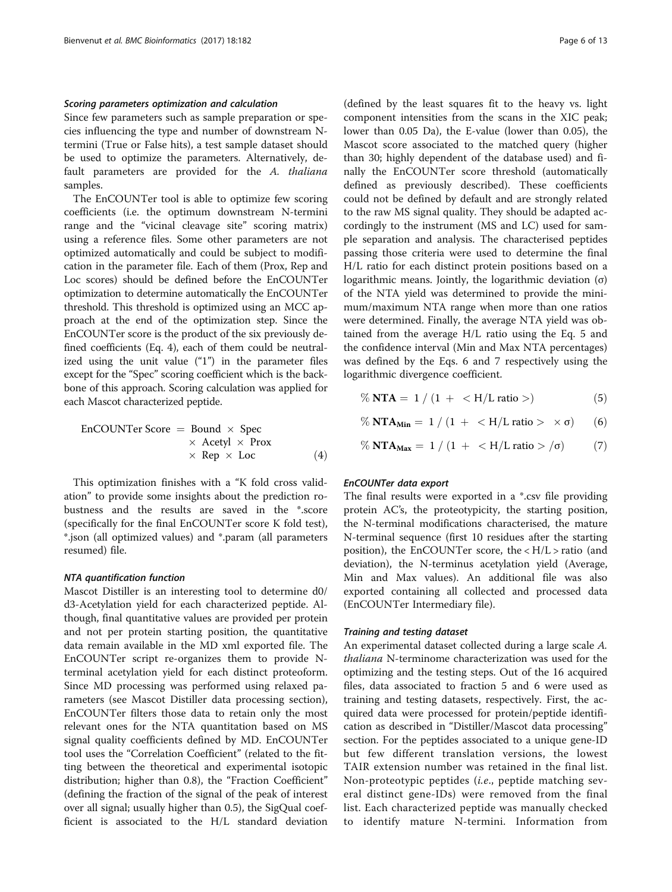#### Scoring parameters optimization and calculation

Since few parameters such as sample preparation or species influencing the type and number of downstream Ntermini (True or False hits), a test sample dataset should be used to optimize the parameters. Alternatively, default parameters are provided for the A. thaliana samples.

The EnCOUNTer tool is able to optimize few scoring coefficients (i.e. the optimum downstream N-termini range and the "vicinal cleavage site" scoring matrix) using a reference files. Some other parameters are not optimized automatically and could be subject to modification in the parameter file. Each of them (Prox, Rep and Loc scores) should be defined before the EnCOUNTer optimization to determine automatically the EnCOUNTer threshold. This threshold is optimized using an MCC approach at the end of the optimization step. Since the EnCOUNTer score is the product of the six previously defined coefficients (Eq. 4), each of them could be neutralized using the unit value  $(1")$  in the parameter files except for the "Spec" scoring coefficient which is the backbone of this approach. Scoring calculation was applied for each Mascot characterized peptide.

$$
\begin{array}{rcl}\n\text{EnCOUNTer Score} & = & \text{Bound} \times \text{Spec} \\
& \times \text{ Acetyl} \times \text{Prox} \\
& \times \text{ Rep} \times \text{Loc}\n\end{array}\n\tag{4}
$$

This optimization finishes with a "K fold cross validation" to provide some insights about the prediction robustness and the results are saved in the \*.score (specifically for the final EnCOUNTer score K fold test), \*.json (all optimized values) and \*.param (all parameters resumed) file.

#### NTA quantification function

Mascot Distiller is an interesting tool to determine d0/ d3-Acetylation yield for each characterized peptide. Although, final quantitative values are provided per protein and not per protein starting position, the quantitative data remain available in the MD xml exported file. The EnCOUNTer script re-organizes them to provide Nterminal acetylation yield for each distinct proteoform. Since MD processing was performed using relaxed parameters (see Mascot Distiller data processing section), EnCOUNTer filters those data to retain only the most relevant ones for the NTA quantitation based on MS signal quality coefficients defined by MD. EnCOUNTer tool uses the "Correlation Coefficient" (related to the fitting between the theoretical and experimental isotopic distribution; higher than 0.8), the "Fraction Coefficient" (defining the fraction of the signal of the peak of interest over all signal; usually higher than 0.5), the SigQual coefficient is associated to the H/L standard deviation

(defined by the least squares fit to the heavy vs. light component intensities from the scans in the XIC peak; lower than 0.05 Da), the E-value (lower than 0.05), the Mascot score associated to the matched query (higher than 30; highly dependent of the database used) and finally the EnCOUNTer score threshold (automatically defined as previously described). These coefficients could not be defined by default and are strongly related to the raw MS signal quality. They should be adapted accordingly to the instrument (MS and LC) used for sample separation and analysis. The characterised peptides passing those criteria were used to determine the final H/L ratio for each distinct protein positions based on a logarithmic means. Jointly, the logarithmic deviation  $(σ)$ of the NTA yield was determined to provide the minimum/maximum NTA range when more than one ratios were determined. Finally, the average NTA yield was obtained from the average H/L ratio using the Eq. 5 and the confidence interval (Min and Max NTA percentages) was defined by the Eqs. 6 and 7 respectively using the logarithmic divergence coefficient.

- $\%$  NTA = 1 / (1 + < H/L ratio >) (5)
- % **NTA<sub>Min</sub>** = 1 / (1 + < H/L ratio >  $\times$  σ) (6)
- $\%$  NTA<sub>Max</sub> = 1 / (1 + < H/L ratio > / $\sigma$ ) (7)

#### EnCOUNTer data export

The final results were exported in a \*.csv file providing protein AC's, the proteotypicity, the starting position, the N-terminal modifications characterised, the mature N-terminal sequence (first 10 residues after the starting position), the EnCOUNTer score, the < H/L > ratio (and deviation), the N-terminus acetylation yield (Average, Min and Max values). An additional file was also exported containing all collected and processed data (EnCOUNTer Intermediary file).

#### Training and testing dataset

An experimental dataset collected during a large scale A. thaliana N-terminome characterization was used for the optimizing and the testing steps. Out of the 16 acquired files, data associated to fraction 5 and 6 were used as training and testing datasets, respectively. First, the acquired data were processed for protein/peptide identification as described in "Distiller/Mascot data processing" section. For the peptides associated to a unique gene-ID but few different translation versions, the lowest TAIR extension number was retained in the final list. Non-proteotypic peptides (i.e., peptide matching several distinct gene-IDs) were removed from the final list. Each characterized peptide was manually checked to identify mature N-termini. Information from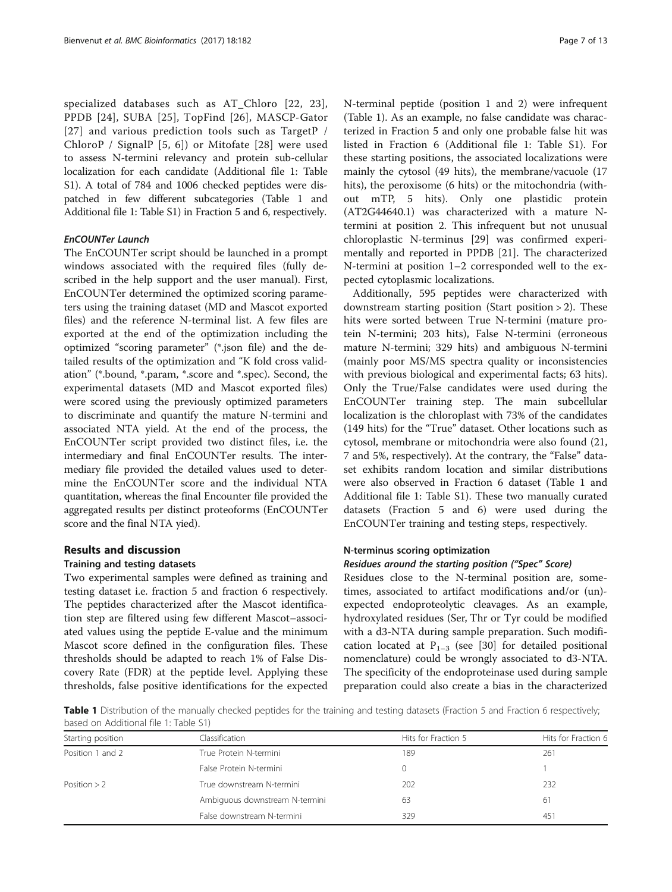specialized databases such as AT\_Chloro [[22](#page-12-0), [23\]](#page-12-0), PPDB [\[24\]](#page-12-0), SUBA [[25](#page-12-0)], TopFind [[26](#page-12-0)], MASCP-Gator [[27](#page-12-0)] and various prediction tools such as TargetP / ChloroP / SignalP [[5, 6](#page-11-0)]) or Mitofate [[28](#page-12-0)] were used to assess N-termini relevancy and protein sub-cellular localization for each candidate (Additional file [1:](#page-11-0) Table S1). A total of 784 and 1006 checked peptides were dispatched in few different subcategories (Table 1 and Additional file [1:](#page-11-0) Table S1) in Fraction 5 and 6, respectively.

#### EnCOUNTer Launch

The EnCOUNTer script should be launched in a prompt windows associated with the required files (fully described in the help support and the user manual). First, EnCOUNTer determined the optimized scoring parameters using the training dataset (MD and Mascot exported files) and the reference N-terminal list. A few files are exported at the end of the optimization including the optimized "scoring parameter" (\*.json file) and the detailed results of the optimization and "K fold cross validation" (\*.bound, \*.param, \*.score and \*.spec). Second, the experimental datasets (MD and Mascot exported files) were scored using the previously optimized parameters to discriminate and quantify the mature N-termini and associated NTA yield. At the end of the process, the EnCOUNTer script provided two distinct files, i.e. the intermediary and final EnCOUNTer results. The intermediary file provided the detailed values used to determine the EnCOUNTer score and the individual NTA quantitation, whereas the final Encounter file provided the aggregated results per distinct proteoforms (EnCOUNTer score and the final NTA yied).

#### Results and discussion

#### Training and testing datasets

Two experimental samples were defined as training and testing dataset i.e. fraction 5 and fraction 6 respectively. The peptides characterized after the Mascot identification step are filtered using few different Mascot–associated values using the peptide E-value and the minimum Mascot score defined in the configuration files. These thresholds should be adapted to reach 1% of False Discovery Rate (FDR) at the peptide level. Applying these thresholds, false positive identifications for the expected N-terminal peptide (position 1 and 2) were infrequent (Table 1). As an example, no false candidate was characterized in Fraction 5 and only one probable false hit was listed in Fraction 6 (Additional file [1](#page-11-0): Table S1). For these starting positions, the associated localizations were mainly the cytosol (49 hits), the membrane/vacuole (17 hits), the peroxisome (6 hits) or the mitochondria (without mTP, 5 hits). Only one plastidic protein (AT2G44640.1) was characterized with a mature Ntermini at position 2. This infrequent but not unusual chloroplastic N-terminus [[29](#page-12-0)] was confirmed experimentally and reported in PPDB [[21\]](#page-12-0). The characterized N-termini at position 1–2 corresponded well to the expected cytoplasmic localizations.

Additionally, 595 peptides were characterized with downstream starting position (Start position > 2). These hits were sorted between True N-termini (mature protein N-termini; 203 hits), False N-termini (erroneous mature N-termini; 329 hits) and ambiguous N-termini (mainly poor MS/MS spectra quality or inconsistencies with previous biological and experimental facts; 63 hits). Only the True/False candidates were used during the EnCOUNTer training step. The main subcellular localization is the chloroplast with 73% of the candidates (149 hits) for the "True" dataset. Other locations such as cytosol, membrane or mitochondria were also found (21, 7 and 5%, respectively). At the contrary, the "False" dataset exhibits random location and similar distributions were also observed in Fraction 6 dataset (Table 1 and Additional file [1:](#page-11-0) Table S1). These two manually curated datasets (Fraction 5 and 6) were used during the EnCOUNTer training and testing steps, respectively.

#### N-terminus scoring optimization

#### Residues around the starting position ("Spec" Score)

Residues close to the N-terminal position are, sometimes, associated to artifact modifications and/or (un) expected endoproteolytic cleavages. As an example, hydroxylated residues (Ser, Thr or Tyr could be modified with a d3-NTA during sample preparation. Such modification located at  $P_{1-3}$  (see [\[30](#page-12-0)] for detailed positional nomenclature) could be wrongly associated to d3-NTA. The specificity of the endoproteinase used during sample preparation could also create a bias in the characterized

Table 1 Distribution of the manually checked peptides for the training and testing datasets (Fraction 5 and Fraction 6 respectively; based on Additional file [1](#page-11-0): Table S1)

| Starting position | Classification                 | Hits for Fraction 5 | Hits for Fraction 6 |
|-------------------|--------------------------------|---------------------|---------------------|
| Position 1 and 2  | True Protein N-termini         | 189                 | 261                 |
|                   | False Protein N-termini        |                     |                     |
| Position $> 2$    | True downstream N-termini      | 202                 | 232                 |
|                   | Ambiguous downstream N-termini | 63                  | 61                  |
|                   | False downstream N-termini     | 329                 | 451                 |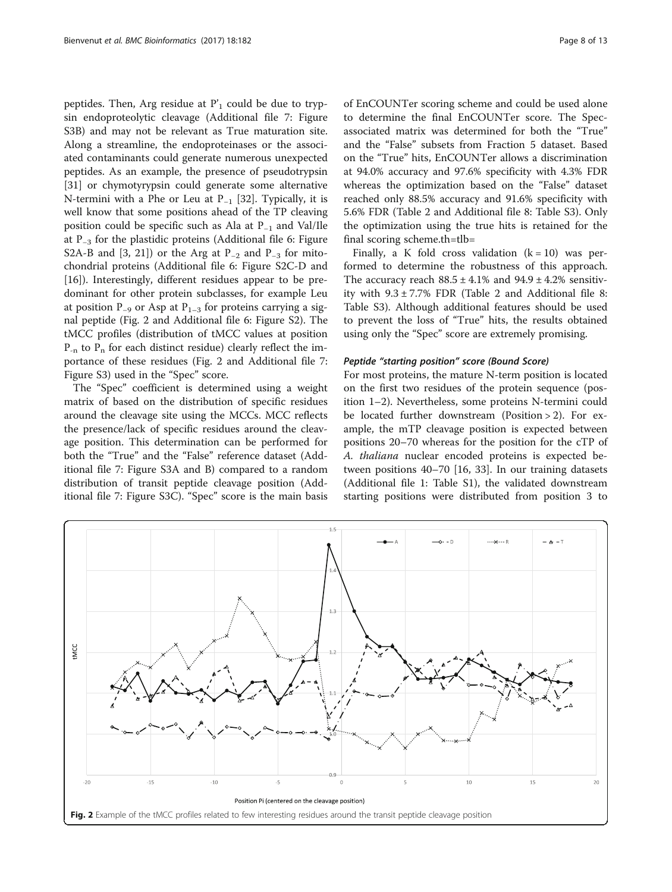peptides. Then, Arg residue at  $P'$ <sub>1</sub> could be due to trypsin endoproteolytic cleavage (Additional file [7](#page-11-0): Figure S3B) and may not be relevant as True maturation site. Along a streamline, the endoproteinases or the associated contaminants could generate numerous unexpected peptides. As an example, the presence of pseudotrypsin [[31\]](#page-12-0) or chymotyrypsin could generate some alternative N-termini with a Phe or Leu at  $P_{-1}$  [\[32\]](#page-12-0). Typically, it is well know that some positions ahead of the TP cleaving position could be specific such as Ala at P−<sup>1</sup> and Val/Ile at P−<sup>3</sup> for the plastidic proteins (Additional file [6](#page-11-0): Figure S2A-B and [[3,](#page-11-0) [21](#page-12-0)]) or the Arg at P<sub>-2</sub> and P<sub>-3</sub> for mitochondrial proteins (Additional file [6](#page-11-0): Figure S2C-D and [[16\]](#page-12-0)). Interestingly, different residues appear to be predominant for other protein subclasses, for example Leu at position P<sub>-9</sub> or Asp at P<sub>1-3</sub> for proteins carrying a signal peptide (Fig. 2 and Additional file [6](#page-11-0): Figure S2). The tMCC profiles (distribution of tMCC values at position  $P_{-n}$  to  $P_n$  for each distinct residue) clearly reflect the importance of these residues (Fig. 2 and Additional file [7](#page-11-0): Figure S3) used in the "Spec" score.

The "Spec" coefficient is determined using a weight matrix of based on the distribution of specific residues around the cleavage site using the MCCs. MCC reflects the presence/lack of specific residues around the cleavage position. This determination can be performed for both the "True" and the "False" reference dataset (Additional file [7](#page-11-0): Figure S3A and B) compared to a random distribution of transit peptide cleavage position (Additional file [7](#page-11-0): Figure S3C). "Spec" score is the main basis

of EnCOUNTer scoring scheme and could be used alone to determine the final EnCOUNTer score. The Specassociated matrix was determined for both the "True" and the "False" subsets from Fraction 5 dataset. Based on the "True" hits, EnCOUNTer allows a discrimination at 94.0% accuracy and 97.6% specificity with 4.3% FDR whereas the optimization based on the "False" dataset reached only 88.5% accuracy and 91.6% specificity with 5.6% FDR (Table [2](#page-8-0) and Additional file [8:](#page-11-0) Table S3). Only the optimization using the true hits is retained for the final scoring scheme.th=tlb=

Finally, a K fold cross validation  $(k = 10)$  was performed to determine the robustness of this approach. The accuracy reach  $88.5 \pm 4.1\%$  and  $94.9 \pm 4.2\%$  sensitivity with  $9.3 \pm 7.7\%$  FDR (Table [2](#page-8-0) and Additional file [8](#page-11-0): Table S3). Although additional features should be used to prevent the loss of "True" hits, the results obtained using only the "Spec" score are extremely promising.

#### Peptide "starting position" score (Bound Score)

For most proteins, the mature N-term position is located on the first two residues of the protein sequence (position 1–2). Nevertheless, some proteins N-termini could be located further downstream (Position > 2). For example, the mTP cleavage position is expected between positions 20–70 whereas for the position for the cTP of A. thaliana nuclear encoded proteins is expected between positions 40–70 [[16](#page-12-0), [33](#page-12-0)]. In our training datasets (Additional file [1](#page-11-0): Table S1), the validated downstream starting positions were distributed from position 3 to

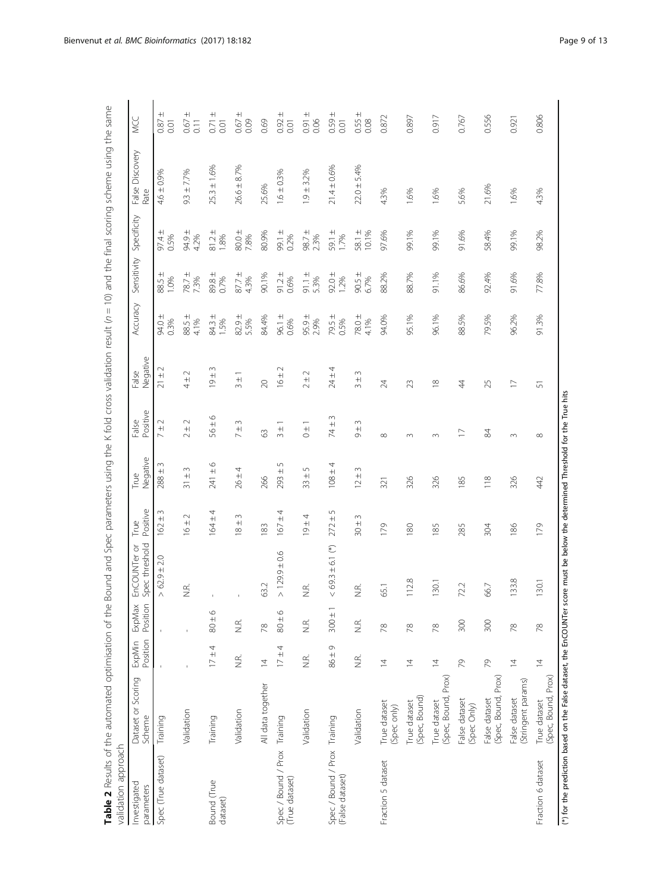<span id="page-8-0"></span>

| validation approach                                                                                                             |                                      |                             |                    |                                |                  |                                    |                                               |                         |                    |                    |                    |                         |                                  |
|---------------------------------------------------------------------------------------------------------------------------------|--------------------------------------|-----------------------------|--------------------|--------------------------------|------------------|------------------------------------|-----------------------------------------------|-------------------------|--------------------|--------------------|--------------------|-------------------------|----------------------------------|
| Investigated<br>parameters                                                                                                      | Dataset or Scoring<br>Scheme         | ExpMin<br>Position          | Position<br>ExpMax | EnCOUNTer or<br>Spec threshold | Positive<br>True | Negative<br>True                   | Positive<br>False                             | Negative<br>False       | Accuracy           | Sensitivity        | Specificity        | False Discovery<br>Rate | MCC                              |
| Spec (True dataset)                                                                                                             | Training                             |                             |                    | $62.9 \pm 2.0$<br>$\land$      | $162 \pm 3$      | $288 \pm 3$                        | $\sim$<br>$+$<br>$\overline{\phantom{0}}$     | $21 \pm 2$              | 94.0 ±<br>0.3%     | 88.5 ±<br>1.0%     | 97.4 ±<br>0.5%     | $4.6 \pm 0.9%$          | $+1$<br>0.87<br>0.01             |
|                                                                                                                                 | Validation                           |                             |                    | $\widetilde{\Xi}$              | $16 \pm 2$       | $\widetilde{+}$<br>$\overline{31}$ | $\frac{+}{2}$                                 | $4 \pm 2$               | $88.5 \pm$<br>4.1% | $78.7 \pm$<br>7.3% | 94.9±<br>4.2%      | $9.3 \pm 7.7\%$         | $+1$<br>0.67<br>$\overline{0}$ . |
| Bound (True<br>dataset)                                                                                                         | Training                             | $17 + 4$                    | $60 \pm 6$         |                                | $164 \pm 4$      | $241 \pm 6$                        | $56 \pm 6$                                    | $\sim$<br>$-6 +$        | $84.3 \pm 1.5\%$   | 89.8 ±<br>0.7%     | $81.2 \pm$<br>1.8% | $25.3 \pm 1.6\%$        | $+$<br>0.71<br>0.01              |
|                                                                                                                                 | Validation                           | $\stackrel{\alpha}{\equiv}$ | $\frac{\alpha}{2}$ | $\mathfrak l$                  | $\sim$<br>$+1$   | $26 + 4$                           | $\sim$<br>$+$<br>$\overline{ }$               | $3 \pm 1$               | 82.9 ±<br>5.5%     | $87.7 \pm$<br>4.3% | $80.0 \pm$<br>7.8% | $26.6 \pm 8.7%$         | $+1$<br>0.67<br>0.09             |
|                                                                                                                                 | All data together                    | $\overline{4}$              | 78                 | 63.2                           | 183              | 266                                | 3                                             | $\infty$                | 84.4%              | 90.1%              | 80.9%              | 25.6%                   | 0.69                             |
| Spec / Bound / Prox<br>(True dataset)                                                                                           | Training                             | $17 \pm 4$                  | $90 \pm 6$         | $> 129.9 \pm 0.6$              | 4<br>$167 \pm$   | 5<br>$293 +$                       | $\overline{\phantom{0}}$<br>$\pm$<br>$\infty$ | $\sim$<br>$16 +$        | $96.1 \pm$<br>0.6% | $91.2 \pm$<br>0.6% | 99.1 ±<br>0.2%     | $1.6 \pm 0.3\%$         | $\pm$<br>0.92<br>0.01            |
|                                                                                                                                 | Validation                           | $\stackrel{\alpha}{\equiv}$ | Σ.<br>Σ            | $\frac{\alpha}{2}$             | $19 + 4$         | $\sqrt{ }$<br>$+1$<br>33           | $\overline{\phantom{0}}$<br>$_{\rm O}^{+}$    | $\sim$<br>$\frac{+}{2}$ | $95.9 \pm$<br>2.9% | $91.1 \pm$<br>5.3% | $98.7 \pm$<br>2.3% | $1.9 \pm 3.2%$          | $0.91 \pm$<br>0.06               |
| Spec / Bound / Prox<br>(False dataset)                                                                                          | Training                             | $64 + 98$                   | $300 \pm 1$        | $69.3 \pm 6.1$ (*)<br>$\vee$   | 5<br>$272 \pm$   | $108 +$                            | $\sim$<br>$74 \pm$                            | 4<br>$24 \pm 4$         | 79.5 ±<br>0.5%     | $92.0 \pm$<br>1.2% | 59.1 ±<br>1.7%     | $21.4 \pm 0.6%$         | $0.59 \pm$<br>0.01               |
|                                                                                                                                 | Validation                           | Σ.                          | $\tilde{\vec{z}}$  | ΥÉ<br>Ζ                        | $\sim$<br>$+180$ | $\stackrel{\sim}{+}$<br>$\simeq$   | $\sim$<br>$\pm\vert$<br>G                     | $\sim$<br>$\frac{+}{3}$ | $78.0 \pm$<br>4.1% | $90.5 \pm$<br>6.7% | $58.1 \pm 10.196$  | $22.0 \pm 5.4%$         | $0.55 \pm$<br>0.08               |
| Fraction 5 dataset                                                                                                              | True dataset<br>(Spec only)          | $\overline{4}$              | 78                 | 65.1                           | 179              | 321                                | $\infty$                                      | $\overline{24}$         | 94.0%              | 88.2%              | 97.6%              | 4.3%                    | 0.872                            |
|                                                                                                                                 | (Spec, Bound)<br>True dataset        | $\overline{4}$              | 78                 | $\infty$<br>$\frac{1}{2}$      | 180              | 326                                | $\sim$                                        | 23                      | 95.1%              | 88.7%              | 99.1%              | 1.6%                    | 0.897                            |
|                                                                                                                                 | (Spec, Bound, Prox)<br>True dataset  | $\overline{4}$              | $\approx$          | 30.1                           | 185              | 326                                | $\infty$                                      | $\frac{\infty}{\infty}$ | 96.1%              | 91.1%              | 99.1%              | 1.6%                    | 0.917                            |
|                                                                                                                                 | False dataset<br>(Spec Only)         | 29                          | 300                | 72.2                           | 285              | 185                                | $\overline{1}$                                | 4                       | 88.5%              | 86.6%              | 91.6%              | 5.6%                    | 0.767                            |
|                                                                                                                                 | (Spec, Bound, Prox)<br>False dataset | 79                          | 300                | 66.7                           | 304              | 118                                | $\frac{8}{3}$                                 | 25                      | 79.5%              | 92.4%              | 58.4%              | 21.6%                   | 0.556                            |
|                                                                                                                                 | (Stringent params)<br>False dataset  | $\overline{4}$              | 78                 | 133.8                          | 186              | 326                                | $\sim$                                        | $\Box$                  | 96.2%              | 91.6%              | 99.1%              | 1.6%                    | 0.921                            |
| Fraction 6 dataset                                                                                                              | (Spec, Bound, Prox)<br>True dataset  | $\overline{4}$              | 78                 | 130.1                          | 179              | 442                                | $\infty$                                      | 5                       | 91.3%              | 77.8%              | 98.2%              | 4.3%                    | 0.806                            |
| (*) for the prediction based on the False dataset, the EnCOUNTer score must be below the determined Threshold for the True hits |                                      |                             |                    |                                |                  |                                    |                                               |                         |                    |                    |                    |                         |                                  |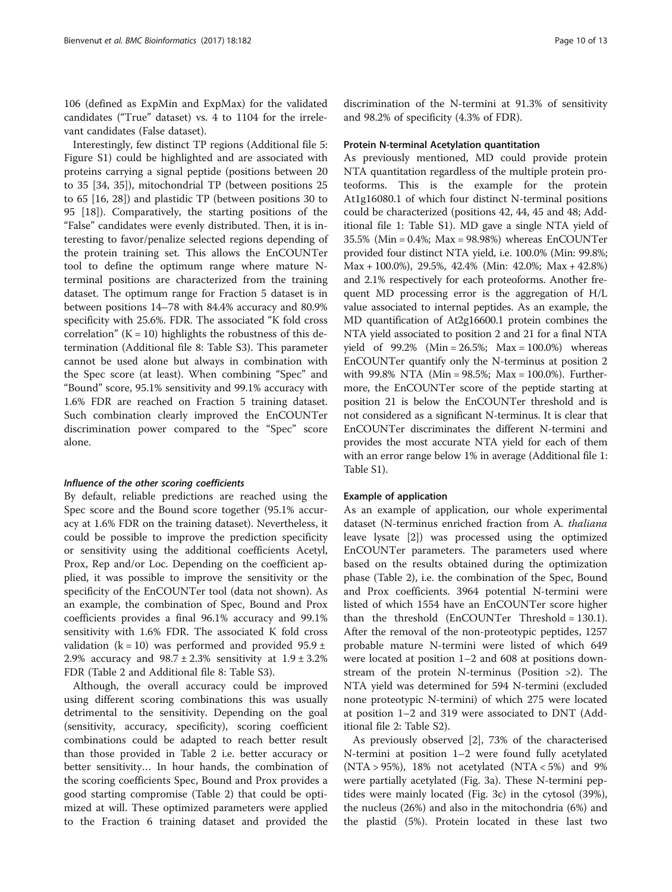106 (defined as ExpMin and ExpMax) for the validated candidates ("True" dataset) vs. 4 to 1104 for the irrelevant candidates (False dataset).

Interestingly, few distinct TP regions (Additional file [5](#page-11-0): Figure S1) could be highlighted and are associated with proteins carrying a signal peptide (positions between 20 to 35 [\[34, 35\]](#page-12-0)), mitochondrial TP (between positions 25 to 65 [\[16](#page-12-0), [28](#page-12-0)]) and plastidic TP (between positions 30 to 95 [\[18](#page-12-0)]). Comparatively, the starting positions of the "False" candidates were evenly distributed. Then, it is interesting to favor/penalize selected regions depending of the protein training set. This allows the EnCOUNTer tool to define the optimum range where mature Nterminal positions are characterized from the training dataset. The optimum range for Fraction 5 dataset is in between positions 14–78 with 84.4% accuracy and 80.9% specificity with 25.6%. FDR. The associated "K fold cross correlation"  $(K = 10)$  highlights the robustness of this determination (Additional file [8](#page-11-0): Table S3). This parameter cannot be used alone but always in combination with the Spec score (at least). When combining "Spec" and "Bound" score, 95.1% sensitivity and 99.1% accuracy with 1.6% FDR are reached on Fraction 5 training dataset. Such combination clearly improved the EnCOUNTer discrimination power compared to the "Spec" score alone.

#### Influence of the other scoring coefficients

By default, reliable predictions are reached using the Spec score and the Bound score together (95.1% accuracy at 1.6% FDR on the training dataset). Nevertheless, it could be possible to improve the prediction specificity or sensitivity using the additional coefficients Acetyl, Prox, Rep and/or Loc. Depending on the coefficient applied, it was possible to improve the sensitivity or the specificity of the EnCOUNTer tool (data not shown). As an example, the combination of Spec, Bound and Prox coefficients provides a final 96.1% accuracy and 99.1% sensitivity with 1.6% FDR. The associated K fold cross validation (k = 10) was performed and provided  $95.9 \pm$ 2.9% accuracy and  $98.7 \pm 2.3$ % sensitivity at  $1.9 \pm 3.2$ % FDR (Table [2](#page-8-0) and Additional file [8](#page-11-0): Table S3).

Although, the overall accuracy could be improved using different scoring combinations this was usually detrimental to the sensitivity. Depending on the goal (sensitivity, accuracy, specificity), scoring coefficient combinations could be adapted to reach better result than those provided in Table [2](#page-8-0) i.e. better accuracy or better sensitivity… In hour hands, the combination of the scoring coefficients Spec, Bound and Prox provides a good starting compromise (Table [2](#page-8-0)) that could be optimized at will. These optimized parameters were applied to the Fraction 6 training dataset and provided the

discrimination of the N-termini at 91.3% of sensitivity and 98.2% of specificity (4.3% of FDR).

#### Protein N-terminal Acetylation quantitation

As previously mentioned, MD could provide protein NTA quantitation regardless of the multiple protein proteoforms. This is the example for the protein At1g16080.1 of which four distinct N-terminal positions could be characterized (positions 42, 44, 45 and 48; Additional file [1:](#page-11-0) Table S1). MD gave a single NTA yield of 35.5% (Min = 0.4%; Max = 98.98%) whereas EnCOUNTer provided four distinct NTA yield, i.e. 100.0% (Min: 99.8%; Max + 100.0%), 29.5%, 42.4% (Min: 42.0%; Max + 42.8%) and 2.1% respectively for each proteoforms. Another frequent MD processing error is the aggregation of H/L value associated to internal peptides. As an example, the MD quantification of At2g16600.1 protein combines the NTA yield associated to position 2 and 21 for a final NTA yield of  $99.2\%$  (Min = 26.5%; Max = 100.0%) whereas EnCOUNTer quantify only the N-terminus at position 2 with 99.8% NTA (Min = 98.5%; Max = 100.0%). Furthermore, the EnCOUNTer score of the peptide starting at position 21 is below the EnCOUNTer threshold and is not considered as a significant N-terminus. It is clear that EnCOUNTer discriminates the different N-termini and provides the most accurate NTA yield for each of them with an error range below 1% in average (Additional file [1](#page-11-0): Table S1).

#### Example of application

As an example of application, our whole experimental dataset (N-terminus enriched fraction from A. thaliana leave lysate [[2\]](#page-11-0)) was processed using the optimized EnCOUNTer parameters. The parameters used where based on the results obtained during the optimization phase (Table [2\)](#page-8-0), i.e. the combination of the Spec, Bound and Prox coefficients. 3964 potential N-termini were listed of which 1554 have an EnCOUNTer score higher than the threshold (EnCOUNTer Threshold = 130.1). After the removal of the non-proteotypic peptides, 1257 probable mature N-termini were listed of which 649 were located at position 1–2 and 608 at positions downstream of the protein N-terminus (Position >2). The NTA yield was determined for 594 N-termini (excluded none proteotypic N-termini) of which 275 were located at position 1–2 and 319 were associated to DNT (Additional file [2:](#page-11-0) Table S2).

As previously observed [[2](#page-11-0)], 73% of the characterised N-termini at position 1–2 were found fully acetylated  $(NTA > 95%)$ , 18% not acetylated  $(NTA < 5%)$  and 9% were partially acetylated (Fig. [3a\)](#page-10-0). These N-termini peptides were mainly located (Fig. [3c\)](#page-10-0) in the cytosol (39%), the nucleus (26%) and also in the mitochondria (6%) and the plastid (5%). Protein located in these last two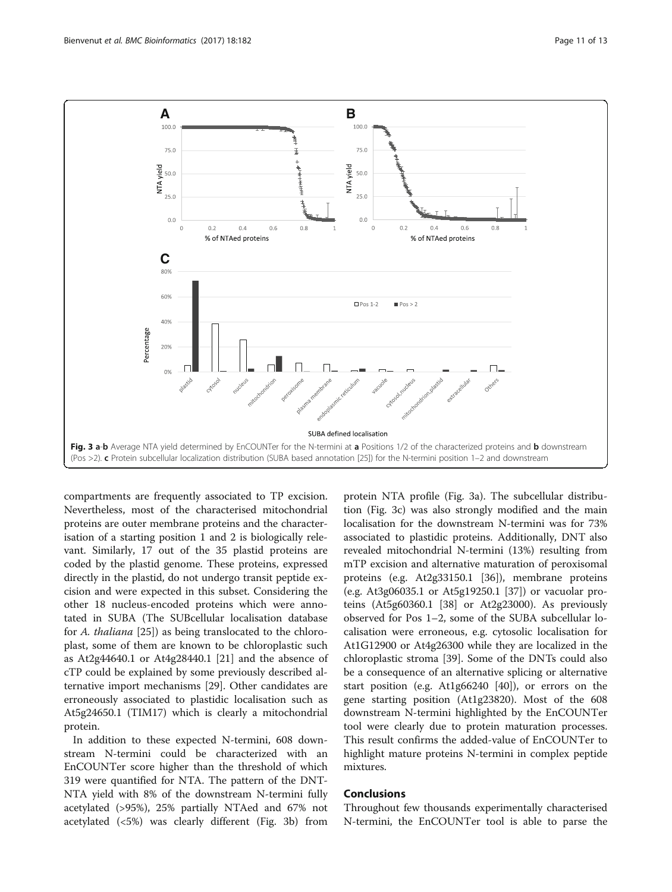<span id="page-10-0"></span>

compartments are frequently associated to TP excision. Nevertheless, most of the characterised mitochondrial proteins are outer membrane proteins and the characterisation of a starting position 1 and 2 is biologically relevant. Similarly, 17 out of the 35 plastid proteins are coded by the plastid genome. These proteins, expressed directly in the plastid, do not undergo transit peptide excision and were expected in this subset. Considering the other 18 nucleus-encoded proteins which were annotated in SUBA (The SUBcellular localisation database for A. thaliana [\[25](#page-12-0)]) as being translocated to the chloroplast, some of them are known to be chloroplastic such as At2g44640.1 or At4g28440.1 [[21](#page-12-0)] and the absence of cTP could be explained by some previously described alternative import mechanisms [[29\]](#page-12-0). Other candidates are erroneously associated to plastidic localisation such as At5g24650.1 (TIM17) which is clearly a mitochondrial protein.

In addition to these expected N-termini, 608 downstream N-termini could be characterized with an EnCOUNTer score higher than the threshold of which 319 were quantified for NTA. The pattern of the DNT-NTA yield with 8% of the downstream N-termini fully acetylated (>95%), 25% partially NTAed and 67% not acetylated (<5%) was clearly different (Fig. 3b) from

protein NTA profile (Fig. 3a). The subcellular distribution (Fig. 3c) was also strongly modified and the main localisation for the downstream N-termini was for 73% associated to plastidic proteins. Additionally, DNT also revealed mitochondrial N-termini (13%) resulting from mTP excision and alternative maturation of peroxisomal proteins (e.g. At2g33150.1 [[36](#page-12-0)]), membrane proteins (e.g. At3g06035.1 or At5g19250.1 [\[37](#page-12-0)]) or vacuolar proteins (At5g60360.1 [[38\]](#page-12-0) or At2g23000). As previously observed for Pos 1–2, some of the SUBA subcellular localisation were erroneous, e.g. cytosolic localisation for At1G12900 or At4g26300 while they are localized in the chloroplastic stroma [[39\]](#page-12-0). Some of the DNTs could also be a consequence of an alternative splicing or alternative start position (e.g. At1g66240 [[40\]](#page-12-0)), or errors on the gene starting position (At1g23820). Most of the 608 downstream N-termini highlighted by the EnCOUNTer tool were clearly due to protein maturation processes. This result confirms the added-value of EnCOUNTer to highlight mature proteins N-termini in complex peptide mixtures.

### Conclusions

Throughout few thousands experimentally characterised N-termini, the EnCOUNTer tool is able to parse the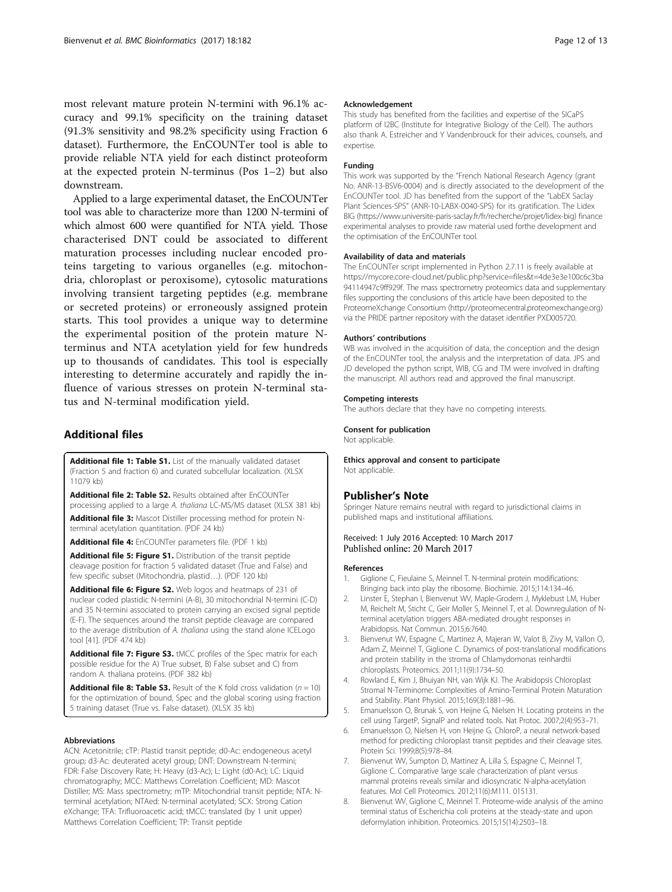<span id="page-11-0"></span>most relevant mature protein N-termini with 96.1% accuracy and 99.1% specificity on the training dataset (91.3% sensitivity and 98.2% specificity using Fraction 6 dataset). Furthermore, the EnCOUNTer tool is able to provide reliable NTA yield for each distinct proteoform at the expected protein N-terminus (Pos 1–2) but also downstream.

Applied to a large experimental dataset, the EnCOUNTer tool was able to characterize more than 1200 N-termini of which almost 600 were quantified for NTA yield. Those characterised DNT could be associated to different maturation processes including nuclear encoded proteins targeting to various organelles (e.g. mitochondria, chloroplast or peroxisome), cytosolic maturations involving transient targeting peptides (e.g. membrane or secreted proteins) or erroneously assigned protein starts. This tool provides a unique way to determine the experimental position of the protein mature Nterminus and NTA acetylation yield for few hundreds up to thousands of candidates. This tool is especially interesting to determine accurately and rapidly the influence of various stresses on protein N-terminal status and N-terminal modification yield.

# Additional files

[Additional file 1: Table S1.](dx.doi.org/10.1186/s12859-017-1595-y) List of the manually validated dataset (Fraction 5 and fraction 6) and curated subcellular localization. (XLSX 11079 kb)

[Additional file 2: Table S2.](dx.doi.org/10.1186/s12859-017-1595-y) Results obtained after EnCOUNTer processing applied to a large A. thaliana LC-MS/MS dataset (XLSX 381 kb) [Additional file 3:](dx.doi.org/10.1186/s12859-017-1595-y) Mascot Distiller processing method for protein Nterminal acetylation quantitation. (PDF 24 kb)

[Additional file 4:](dx.doi.org/10.1186/s12859-017-1595-y) EnCOUNTer parameters file. (PDF 1 kb)

[Additional file 5: Figure S1.](dx.doi.org/10.1186/s12859-017-1595-y) Distribution of the transit peptide cleavage position for fraction 5 validated dataset (True and False) and few specific subset (Mitochondria, plastid…). (PDF 120 kb)

[Additional file 6: Figure S2.](dx.doi.org/10.1186/s12859-017-1595-y) Web logos and heatmaps of 231 of nuclear coded plastidic N-termini (A-B), 30 mitochondrial N-termini (C-D) and 35 N-termini associated to protein carrying an excised signal peptide (E-F). The sequences around the transit peptide cleavage are compared to the average distribution of A. thaliana using the stand alone ICELogo tool [[41](#page-12-0)]. (PDF 474 kb)

[Additional file 7: Figure S3.](dx.doi.org/10.1186/s12859-017-1595-y) tMCC profiles of the Spec matrix for each possible residue for the A) True subset, B) False subset and C) from random A. thaliana proteins. (PDF 382 kb)

**[Additional file 8: Table S3.](dx.doi.org/10.1186/s12859-017-1595-y)** Result of the K fold cross validation ( $n = 10$ ) for the optimization of bound, Spec and the global scoring using fraction 5 training dataset (True vs. False dataset). (XLSX 35 kb)

#### Abbreviations

ACN: Acetonitrile; cTP: Plastid transit peptide; d0-Ac: endogeneous acetyl group; d3-Ac: deuterated acetyl group; DNT: Downstream N-termini; FDR: False Discovery Rate; H: Heavy (d3-Ac); L: Light (d0-Ac); LC: Liquid chromatography; MCC: Matthews Correlation Coefficient; MD: Mascot Distiller; MS: Mass spectrometry; mTP: Mitochondrial transit peptide; NTA: Nterminal acetylation; NTAed: N-terminal acetylated; SCX: Strong Cation eXchange; TFA: Trifluoroacetic acid; tMCC: translated (by 1 unit upper) Matthews Correlation Coefficient; TP: Transit peptide

#### Acknowledgement

This study has benefited from the facilities and expertise of the SICaPS platform of I2BC (Institute for Integrative Biology of the Cell). The authors also thank A. Estreicher and Y Vandenbrouck for their advices, counsels, and expertise.

#### Funding

This work was supported by the "French National Research Agency (grant No. ANR-13-BSV6-0004) and is directly associated to the development of the EnCOUNTer tool. JD has benefited from the support of the "LabEX Saclay Plant Sciences-SPS" (ANR-10-LABX-0040-SPS) for its gratification. The Lidex BIG [\(https://www.universite-paris-saclay.fr/fr/recherche/projet/lidex-big](https://www.universite-paris-saclay.fr/fr/recherche/projet/lidex-big)) finance experimental analyses to provide raw material used forthe development and the optimisation of the EnCOUNTer tool.

#### Availability of data and materials

The EnCOUNTer script implemented in Python 2.7.11 is freely available at [https://mycore.core-cloud.net/public.php?service=files&t=4de3e3e100c6c3ba](https://mycore.core-cloud.net/public.php?service=files&t=4de3e3e100c6c3ba94114947c9ff929f) [94114947c9ff929f](https://mycore.core-cloud.net/public.php?service=files&t=4de3e3e100c6c3ba94114947c9ff929f). The mass spectrometry proteomics data and supplementary files supporting the conclusions of this article have been deposited to the ProteomeXchange Consortium [\(http://proteomecentral.proteomexchange.org](http://proteomecentral.proteomexchange.org/)) via the PRIDE partner repository with the dataset identifier PXD005720.

#### Authors' contributions

WB was involved in the acquisition of data, the conception and the design of the EnCOUNTer tool, the analysis and the interpretation of data. JPS and JD developed the python script, WIB, CG and TM were involved in drafting the manuscript. All authors read and approved the final manuscript.

#### Competing interests

The authors declare that they have no competing interests.

#### Consent for publication

Not applicable.

#### Ethics approval and consent to participate Not applicable.

#### Publisher's Note

Springer Nature remains neutral with regard to jurisdictional claims in published maps and institutional affiliations.

#### Received: 1 July 2016 Accepted: 10 March 2017 Published online: 20 March 2017

#### References

- 1. Giglione C, Fieulaine S, Meinnel T. N-terminal protein modifications: Bringing back into play the ribosome. Biochimie. 2015;114:134–46.
- 2. Linster E, Stephan I, Bienvenut WV, Maple-Grodem J, Myklebust LM, Huber M, Reichelt M, Sticht C, Geir Moller S, Meinnel T, et al. Downregulation of Nterminal acetylation triggers ABA-mediated drought responses in Arabidopsis. Nat Commun. 2015;6:7640.
- 3. Bienvenut WV, Espagne C, Martinez A, Majeran W, Valot B, Zivy M, Vallon O, Adam Z, Meinnel T, Giglione C. Dynamics of post-translational modifications and protein stability in the stroma of Chlamydomonas reinhardtii chloroplasts. Proteomics. 2011;11(9):1734–50.
- 4. Rowland E, Kim J, Bhuiyan NH, van Wijk KJ. The Arabidopsis Chloroplast Stromal N-Terminome: Complexities of Amino-Terminal Protein Maturation and Stability. Plant Physiol. 2015;169(3):1881–96.
- 5. Emanuelsson O, Brunak S, von Heijne G, Nielsen H. Locating proteins in the cell using TargetP, SignalP and related tools. Nat Protoc. 2007;2(4):953–71.
- 6. Emanuelsson O, Nielsen H, von Heijne G. ChloroP, a neural network-based method for predicting chloroplast transit peptides and their cleavage sites. Protein Sci. 1999;8(5):978–84.
- 7. Bienvenut WV, Sumpton D, Martinez A, Lilla S, Espagne C, Meinnel T, Giglione C. Comparative large scale characterization of plant versus mammal proteins reveals similar and idiosyncratic N-alpha-acetylation features. Mol Cell Proteomics. 2012;11(6):M111. 015131.
- Bienvenut WV, Giglione C, Meinnel T. Proteome-wide analysis of the amino terminal status of Escherichia coli proteins at the steady-state and upon deformylation inhibition. Proteomics. 2015;15(14):2503–18.